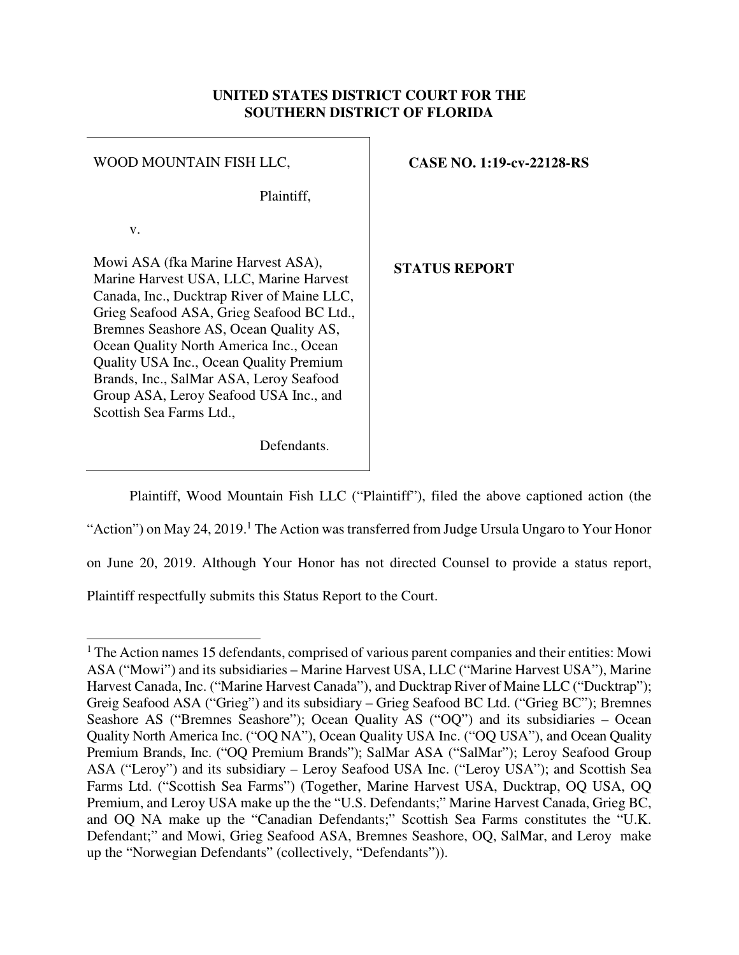## **UNITED STATES DISTRICT COURT FOR THE SOUTHERN DISTRICT OF FLORIDA**

| WOOD MOUNTAIN FISH LLC,                                                                                                                                                                                                                                                                                                                                                                                                   | <b>CASE NO. 1:19-cv-22128-RS</b> |
|---------------------------------------------------------------------------------------------------------------------------------------------------------------------------------------------------------------------------------------------------------------------------------------------------------------------------------------------------------------------------------------------------------------------------|----------------------------------|
| Plaintiff,                                                                                                                                                                                                                                                                                                                                                                                                                |                                  |
| V.                                                                                                                                                                                                                                                                                                                                                                                                                        |                                  |
| Mowi ASA (fka Marine Harvest ASA),<br>Marine Harvest USA, LLC, Marine Harvest<br>Canada, Inc., Ducktrap River of Maine LLC,<br>Grieg Seafood ASA, Grieg Seafood BC Ltd.,<br>Bremnes Seashore AS, Ocean Quality AS,<br>Ocean Quality North America Inc., Ocean<br>Quality USA Inc., Ocean Quality Premium<br>Brands, Inc., SalMar ASA, Leroy Seafood<br>Group ASA, Leroy Seafood USA Inc., and<br>Scottish Sea Farms Ltd., | <b>STATUS REPORT</b>             |

Defendants.

 Plaintiff, Wood Mountain Fish LLC ("Plaintiff"), filed the above captioned action (the "Action") on May 24, 2019.<sup>1</sup> The Action was transferred from Judge Ursula Ungaro to Your Honor on June 20, 2019. Although Your Honor has not directed Counsel to provide a status report, Plaintiff respectfully submits this Status Report to the Court.

<sup>-</sup><sup>1</sup> The Action names 15 defendants, comprised of various parent companies and their entities: Mowi ASA ("Mowi") and its subsidiaries – Marine Harvest USA, LLC ("Marine Harvest USA"), Marine Harvest Canada, Inc. ("Marine Harvest Canada"), and Ducktrap River of Maine LLC ("Ducktrap"); Greig Seafood ASA ("Grieg") and its subsidiary – Grieg Seafood BC Ltd. ("Grieg BC"); Bremnes Seashore AS ("Bremnes Seashore"); Ocean Quality AS ("OQ") and its subsidiaries – Ocean Quality North America Inc. ("OQ NA"), Ocean Quality USA Inc. ("OQ USA"), and Ocean Quality Premium Brands, Inc. ("OQ Premium Brands"); SalMar ASA ("SalMar"); Leroy Seafood Group ASA ("Leroy") and its subsidiary – Leroy Seafood USA Inc. ("Leroy USA"); and Scottish Sea Farms Ltd. ("Scottish Sea Farms") (Together, Marine Harvest USA, Ducktrap, OQ USA, OQ Premium, and Leroy USA make up the the "U.S. Defendants;" Marine Harvest Canada, Grieg BC, and OQ NA make up the "Canadian Defendants;" Scottish Sea Farms constitutes the "U.K. Defendant;" and Mowi, Grieg Seafood ASA, Bremnes Seashore, OQ, SalMar, and Leroy make up the "Norwegian Defendants" (collectively, "Defendants")).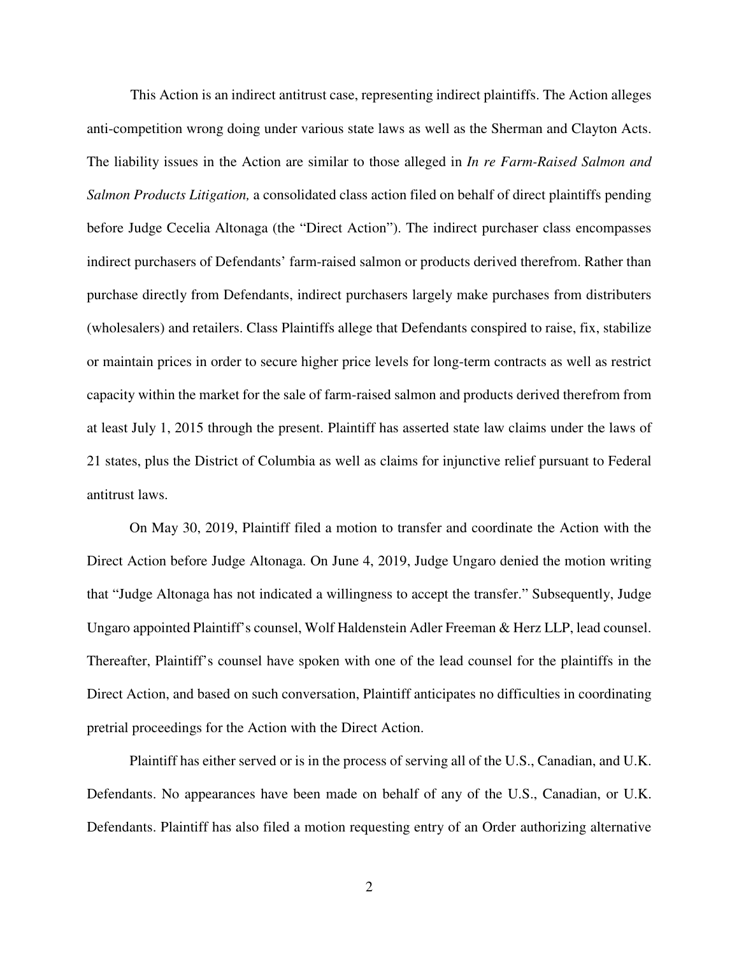This Action is an indirect antitrust case, representing indirect plaintiffs. The Action alleges anti-competition wrong doing under various state laws as well as the Sherman and Clayton Acts. The liability issues in the Action are similar to those alleged in *In re Farm-Raised Salmon and Salmon Products Litigation,* a consolidated class action filed on behalf of direct plaintiffs pending before Judge Cecelia Altonaga (the "Direct Action"). The indirect purchaser class encompasses indirect purchasers of Defendants' farm-raised salmon or products derived therefrom. Rather than purchase directly from Defendants, indirect purchasers largely make purchases from distributers (wholesalers) and retailers. Class Plaintiffs allege that Defendants conspired to raise, fix, stabilize or maintain prices in order to secure higher price levels for long-term contracts as well as restrict capacity within the market for the sale of farm-raised salmon and products derived therefrom from at least July 1, 2015 through the present. Plaintiff has asserted state law claims under the laws of 21 states, plus the District of Columbia as well as claims for injunctive relief pursuant to Federal antitrust laws.

On May 30, 2019, Plaintiff filed a motion to transfer and coordinate the Action with the Direct Action before Judge Altonaga. On June 4, 2019, Judge Ungaro denied the motion writing that "Judge Altonaga has not indicated a willingness to accept the transfer." Subsequently, Judge Ungaro appointed Plaintiff's counsel, Wolf Haldenstein Adler Freeman & Herz LLP, lead counsel. Thereafter, Plaintiff's counsel have spoken with one of the lead counsel for the plaintiffs in the Direct Action, and based on such conversation, Plaintiff anticipates no difficulties in coordinating pretrial proceedings for the Action with the Direct Action.

Plaintiff has either served or is in the process of serving all of the U.S., Canadian, and U.K. Defendants. No appearances have been made on behalf of any of the U.S., Canadian, or U.K. Defendants. Plaintiff has also filed a motion requesting entry of an Order authorizing alternative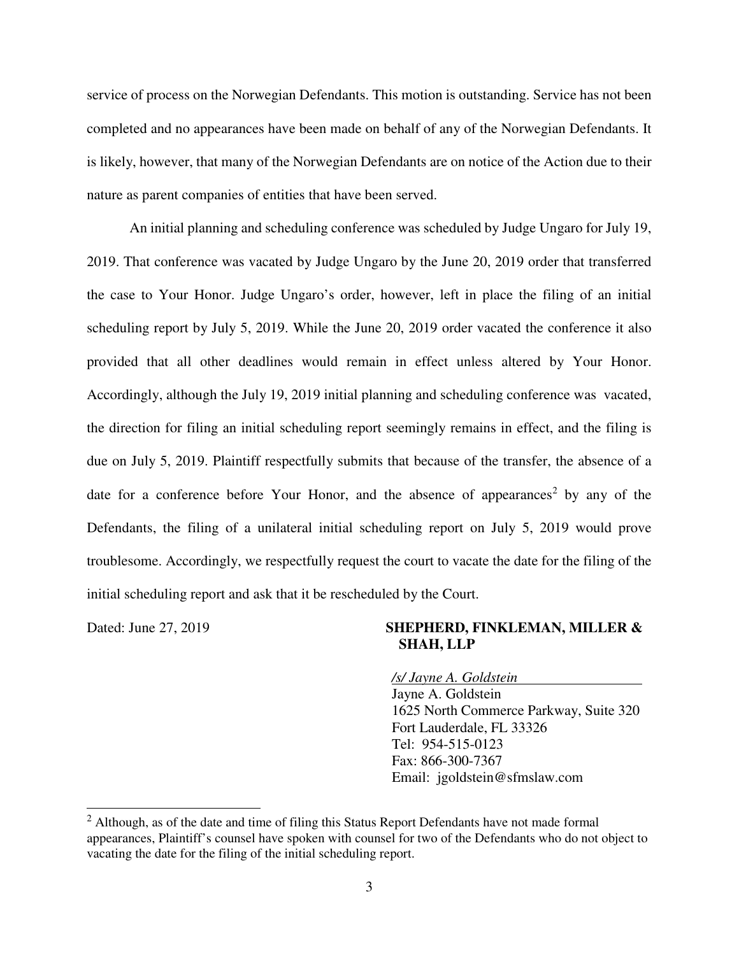service of process on the Norwegian Defendants. This motion is outstanding. Service has not been completed and no appearances have been made on behalf of any of the Norwegian Defendants. It is likely, however, that many of the Norwegian Defendants are on notice of the Action due to their nature as parent companies of entities that have been served.

 An initial planning and scheduling conference was scheduled by Judge Ungaro for July 19, 2019. That conference was vacated by Judge Ungaro by the June 20, 2019 order that transferred the case to Your Honor. Judge Ungaro's order, however, left in place the filing of an initial scheduling report by July 5, 2019. While the June 20, 2019 order vacated the conference it also provided that all other deadlines would remain in effect unless altered by Your Honor. Accordingly, although the July 19, 2019 initial planning and scheduling conference was vacated, the direction for filing an initial scheduling report seemingly remains in effect, and the filing is due on July 5, 2019. Plaintiff respectfully submits that because of the transfer, the absence of a date for a conference before Your Honor, and the absence of appearances<sup>2</sup> by any of the Defendants, the filing of a unilateral initial scheduling report on July 5, 2019 would prove troublesome. Accordingly, we respectfully request the court to vacate the date for the filing of the initial scheduling report and ask that it be rescheduled by the Court.

-

## Dated: June 27, 2019 **SHEPHERD, FINKLEMAN, MILLER & SHAH, LLP**

*/s/ Jayne A. Goldstein* 

Jayne A. Goldstein 1625 North Commerce Parkway, Suite 320 Fort Lauderdale, FL 33326 Tel: 954-515-0123 Fax: 866-300-7367 Email: jgoldstein@sfmslaw.com

 $2$  Although, as of the date and time of filing this Status Report Defendants have not made formal appearances, Plaintiff's counsel have spoken with counsel for two of the Defendants who do not object to vacating the date for the filing of the initial scheduling report.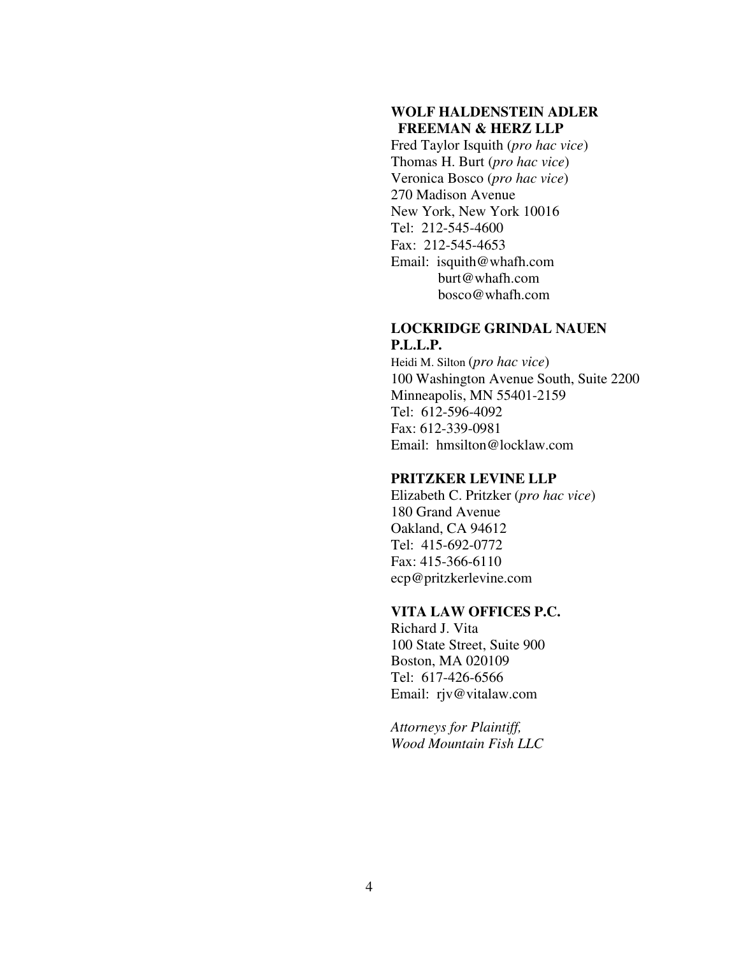## **WOLF HALDENSTEIN ADLER FREEMAN & HERZ LLP**

Fred Taylor Isquith (*pro hac vice*) Thomas H. Burt (*pro hac vice*) Veronica Bosco (*pro hac vice*) 270 Madison Avenue New York, New York 10016 Tel: 212-545-4600 Fax: 212-545-4653 Email: isquith@whafh.com burt@whafh.com bosco@whafh.com

#### **LOCKRIDGE GRINDAL NAUEN P.L.L.P.**

Heidi M. Silton (*pro hac vice*) 100 Washington Avenue South, Suite 2200 Minneapolis, MN 55401-2159 Tel: 612-596-4092 Fax: 612-339-0981 Email: hmsilton@locklaw.com

### **PRITZKER LEVINE LLP**

Elizabeth C. Pritzker (*pro hac vice*) 180 Grand Avenue Oakland, CA 94612 Tel: 415-692-0772 Fax: 415-366-6110 ecp@pritzkerlevine.com

## **VITA LAW OFFICES P.C.**

Richard J. Vita 100 State Street, Suite 900 Boston, MA 020109 Tel: 617-426-6566 Email: rjv@vitalaw.com

*Attorneys for Plaintiff, Wood Mountain Fish LLC*